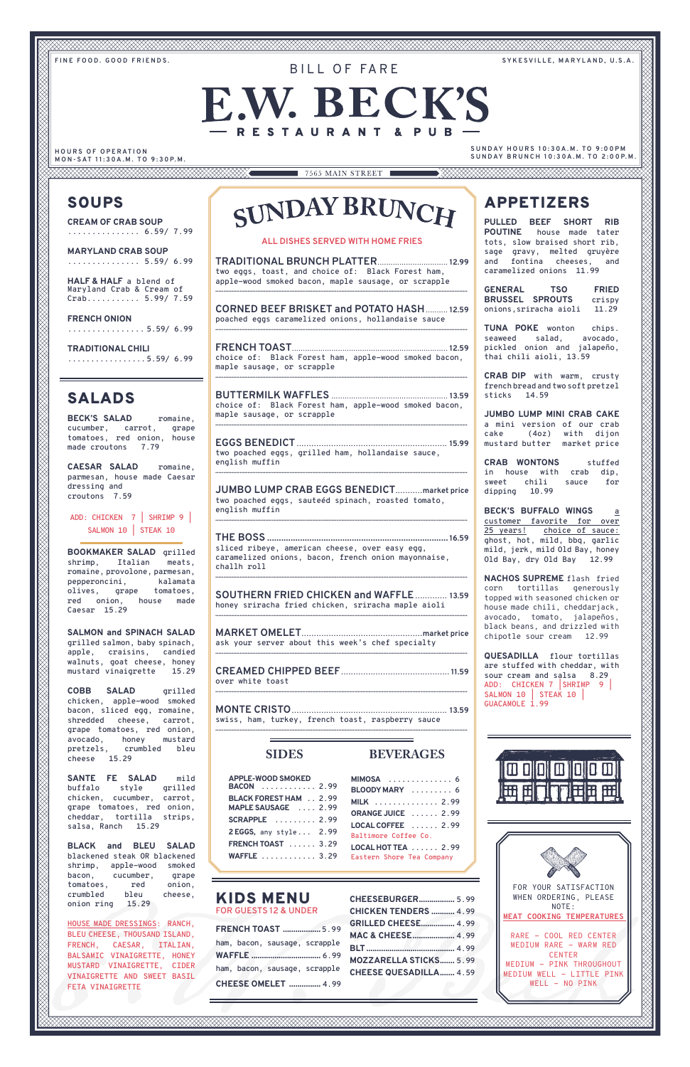**FINE FOOD. GOOD FRIENDS. SYKESVILLE, MARYLAND, U.S.A.**

# **E.W. BECK'S** RESTAURANT & PUB

BILL OF FARF

#### **HOURS OF OPERATION M O N - SAT 1 1 : 3 0A . M . TO 9 : 3 0 P. M .**

**SUNDAY HOURS 10:30A.M. TO 9:00PM S U N DAY B R U N C H 1 0 : 3 0A . M . TO 2 : 0 0 P. M .**

#### **ALL DISHES SERVED WITH HOME FRIES**

**TRADITIONAL BRUNCH PLATTER**................................ **12.99 two eggs, toast, and choice of: Black Forest ham, apple-wood smoked bacon, maple sausage, or scrapple ............................................................................................................................................................**

**CORNED BEEF BRISKET and POTATO HASH**.......... **12.59 poached eggs caramelized onions, hollandaise sauce ............................................................................................................................................................**

**FRENCH TOAST**....................................................................... **12.59 choice of: Black Forest ham, apple-wood smoked bacon, maple sausage, or scrapple ............................................................................................................................................................**

**BUTTERMILK WAFFLES** ..................................................... **13.59 choice of: Black Forest ham, apple-wood smoked bacon, maple sausage, or scrapple ............................................................................................................................................................**

**EGGS BENEDICT** ............................................................. **15.99 two poached eggs, grilled ham, hollandaise sauce, english muffin ............................................................................................................................................................**

**JUMBO LUMP CRAB EGGS BENEDICT**...........**market price two poached eggs, sauteéd spinach, roasted tomato, english muffin ............................................................................................................................................................**

**THE BOSS** ............................................................................. **16.59 sliced ribeye, american cheese, over easy egg, caramelized onions, bacon, french onion mayonnaise, challh roll ............................................................................................................................................................**

**SOUTHERN FRIED CHICKEN and WAFFLE**............. **13.59 honey sriracha fried chicken, sriracha maple aioli ............................................................................................................................................................**

**MARKET OMELET**.................................................**market price ask your server about this week's chef specialty ............................................................................................................................................................**

**CREAMED CHIPPED BEEF**............................................ **11.59 over white toast ............................................................................................................................................................**

**MONTE CRISTO**............................................................... **13.59 swiss, ham, turkey, french toast, raspberry sauce ............................................................................................................................................................**

**SIDES**

**APPLE-WOOD SMOKED** 

| BACON  2.99                   |  |
|-------------------------------|--|
| <b>BLACK FOREST HAM  2.99</b> |  |
| MAPLE SAUSAGE  2.99           |  |
| <b>SCRAPPLE</b> 2.99          |  |
| $2 EGGS$ , any style $2.99$   |  |
| <b>FRENCH TOAST</b> 3.29      |  |
| WAFFLE  3.29                  |  |
|                               |  |

**BEVERAGES**

**MIMOSA .............. 6**

| BLOODY MARY  6            |  |
|---------------------------|--|
| <b>MILK</b> 2.99          |  |
| ORANGE JUICE  2.99        |  |
| LOCAL COFFEE  2.99        |  |
| Baltimore Coffee Co.      |  |
| LOCAL HOT TEA  2.99       |  |
| Eastern Shore Tea Company |  |
|                           |  |

### KIDS MENU **FOR GUESTS 12 & UNDER**

|                            |  | <b>FRENCH TOAST  5.99</b>     |  |
|----------------------------|--|-------------------------------|--|
|                            |  | ham, bacon, sausage, scrapple |  |
|                            |  |                               |  |
|                            |  | ham, bacon, sausage, scrapple |  |
| <b>CHEESE OMELET  4.99</b> |  |                               |  |

| CHEESEBURGER 5.99             |  |
|-------------------------------|--|
| <b>CHICKEN TENDERS  4.99</b>  |  |
| <b>GRILLED CHEESE 4.99</b>    |  |
| MAC & CHEESE 4.99             |  |
|                               |  |
| <b>MOZZARELLA STICKS 5.99</b> |  |
| <b>CHEESE QUESADILLA 4.59</b> |  |
|                               |  |



# APPETIZERS

**PULLED BEEF SHORT RIB POUTINE house made tater tots, slow braised short rib, sage gravy, melted gruyère and fontina cheeses, and caramelized onions 11.99**

**GENERAL TSO FRIED BRUSSEL SPROUTS crispy onions,sriracha aioli 11.29** 

**TUNA POKE wonton chips. seaweed salad, avocado, pickled onion and jalapeño, thai chili aioli, 13.59**

**CRAB DIP with warm, crusty french bread and two soft pretzel sticks 14.59**

**JUMBO LUMP MINI CRAB CAKE a mini version of our crab cake (4oz) with dijon mustard butter market price**

**CRAB WONTONS stuffed in house with crab dip, sweet chili sauce for dipping 10.99**

**BECK'S BUFFALO WINGS a customer favorite for over 25 years! choice of sauce: ghost, hot, mild, bbq, garlic mild, jerk, mild Old Bay, honey Old Bay, dry Old Bay 12.99**

**NACHOS SUPREME** flash fried corn tortillas generously topped with seasoned chicken or house made chili, cheddarjack, avocado, tomato, jalapeños, black beans, and drizzled with chipotle sour cream 12.99

**QUESADILLA flour tortillas are stuffed with cheddar, with sour cream and salsa 8.29 ADD: CHICKEN 7 |SHRIMP 9 | SALMON 10 | STEAK 10 | GUACAMOLE 1.99**

## SALADS

**BECK'S SALAD romaine, cucumber, carrot, grape tomatoes, red onion, house made croutons 7.79**

**CAESAR SALAD romaine, parmesan, house made Caesar dressing and croutons 7.59**

**ADD: CHICKEN 7 | SHRIMP 9 | SALMON 10 | STEAK 10** 

**BOOKMAKER SALAD grilled shrimp, Italian meats, romaine, provolone, parmesan, pepperoncini, kalamata olives, grape tomatoes, red onion, house made Caesar 15.29**

**SALMON and SPINACH SALAD grilled salmon, baby spinach, apple, craisins, candied walnuts, goat cheese, honey mustard vinaigrette 15.29**

**COBB SALAD grilled chicken, apple-wood smoked bacon, sliced egg, romaine, shredded cheese, carrot, grape tomatoes, red onion, avocado, honey mustard pretzels, crumbled bleu cheese 15.29**

**SANTE FE SALAD mild** 

# SUNDAY BRUNCH

**buffalo style grilled chicken, cucumber, carrot, grape tomatoes, red onion, cheddar, tortilla strips, salsa, Ranch 15.29**

**BLACK and BLEU SALAD blackened steak OR blackened shrimp, apple-wood smoked bacon, cucumber, grape tomatoes, red onion, crumbled bleu cheese, onion ring 15.29**

**HOUSE MADE DRESSINGS: RANCH, BLEU CHEESE, THOUSAND ISLAND, FRENCH, CAESAR, ITALIAN, BALSAMIC VINAIGRETTE, HONEY MUSTARD VINAIGRETTE, CIDER VINAIGRETTE AND SWEET BASIL FETA VINAIGRETTE**

## SOUPS

**CREAM OF CRAB SOUP ............... 6.59/ 7.99**

**MARYLAND CRAB SOUP ............... 5.59/ 6.99**

**HALF & HALF a blend of Maryland Crab & Cream of Crab........... 5.99/ 7.59**

**FRENCH ONION ................ 5.59/ 6.99**

**TRADITIONAL CHILI .................5.59/ 6.99**